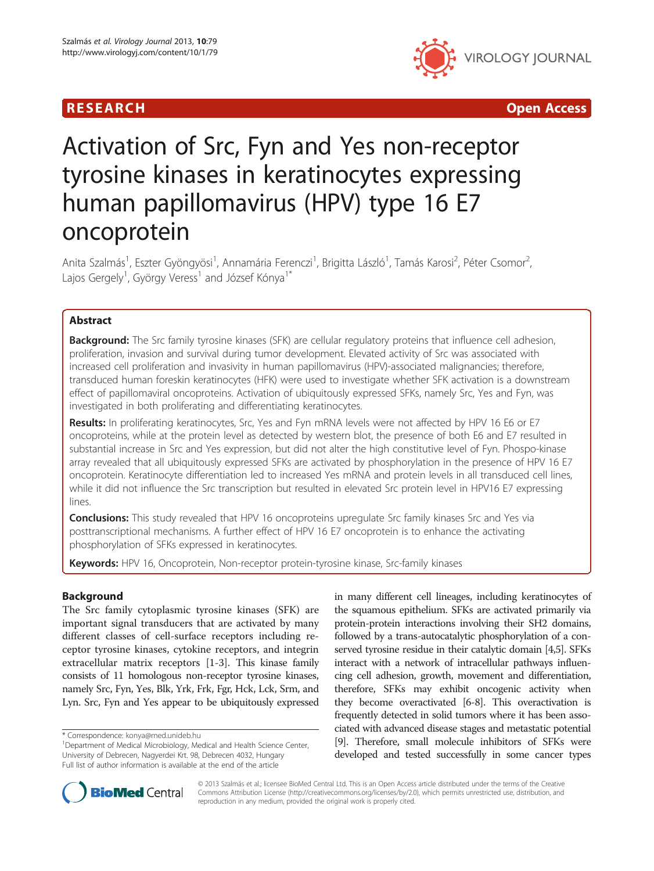



# Activation of Src, Fyn and Yes non-receptor tyrosine kinases in keratinocytes expressing human papillomavirus (HPV) type 16 E7 oncoprotein

Anita Szalmás<sup>1</sup>, Eszter Gyöngyösi<sup>1</sup>, Annamária Ferenczi<sup>1</sup>, Brigitta László<sup>1</sup>, Tamás Karosi<sup>2</sup>, Péter Csomor<sup>2</sup> , Lajos Gergely<sup>1</sup>, György Veress<sup>1</sup> and József Kónya<sup>1\*</sup>

# Abstract

Background: The Src family tyrosine kinases (SFK) are cellular regulatory proteins that influence cell adhesion, proliferation, invasion and survival during tumor development. Elevated activity of Src was associated with increased cell proliferation and invasivity in human papillomavirus (HPV)-associated malignancies; therefore, transduced human foreskin keratinocytes (HFK) were used to investigate whether SFK activation is a downstream effect of papillomaviral oncoproteins. Activation of ubiquitously expressed SFKs, namely Src, Yes and Fyn, was investigated in both proliferating and differentiating keratinocytes.

Results: In proliferating keratinocytes, Src, Yes and Fyn mRNA levels were not affected by HPV 16 E6 or E7 oncoproteins, while at the protein level as detected by western blot, the presence of both E6 and E7 resulted in substantial increase in Src and Yes expression, but did not alter the high constitutive level of Fyn. Phospo-kinase array revealed that all ubiquitously expressed SFKs are activated by phosphorylation in the presence of HPV 16 E7 oncoprotein. Keratinocyte differentiation led to increased Yes mRNA and protein levels in all transduced cell lines, while it did not influence the Src transcription but resulted in elevated Src protein level in HPV16 E7 expressing lines.

Conclusions: This study revealed that HPV 16 oncoproteins upregulate Src family kinases Src and Yes via posttranscriptional mechanisms. A further effect of HPV 16 E7 oncoprotein is to enhance the activating phosphorylation of SFKs expressed in keratinocytes.

Keywords: HPV 16, Oncoprotein, Non-receptor protein-tyrosine kinase, Src-family kinases

# Background

The Src family cytoplasmic tyrosine kinases (SFK) are important signal transducers that are activated by many different classes of cell-surface receptors including receptor tyrosine kinases, cytokine receptors, and integrin extracellular matrix receptors [[1-3](#page-8-0)]. This kinase family consists of 11 homologous non-receptor tyrosine kinases, namely Src, Fyn, Yes, Blk, Yrk, Frk, Fgr, Hck, Lck, Srm, and Lyn. Src, Fyn and Yes appear to be ubiquitously expressed in many different cell lineages, including keratinocytes of the squamous epithelium. SFKs are activated primarily via protein-protein interactions involving their SH2 domains, followed by a trans-autocatalytic phosphorylation of a conserved tyrosine residue in their catalytic domain [\[4,5\]](#page-8-0). SFKs interact with a network of intracellular pathways influencing cell adhesion, growth, movement and differentiation, therefore, SFKs may exhibit oncogenic activity when they become overactivated [\[6](#page-8-0)-[8](#page-8-0)]. This overactivation is frequently detected in solid tumors where it has been associated with advanced disease stages and metastatic potential [[9](#page-8-0)]. Therefore, small molecule inhibitors of SFKs were developed and tested successfully in some cancer types



© 2013 Szalmás et al.; licensee BioMed Central Ltd. This is an Open Access article distributed under the terms of the Creative Commons Attribution License [\(http://creativecommons.org/licenses/by/2.0\)](http://creativecommons.org/licenses/by/2.0), which permits unrestricted use, distribution, and reproduction in any medium, provided the original work is properly cited.

<sup>\*</sup> Correspondence: [konya@med.unideb.hu](mailto:konya@med.unideb.hu) <sup>1</sup>

<sup>&</sup>lt;sup>1</sup>Department of Medical Microbiology, Medical and Health Science Center, University of Debrecen, Nagyerdei Krt. 98, Debrecen 4032, Hungary Full list of author information is available at the end of the article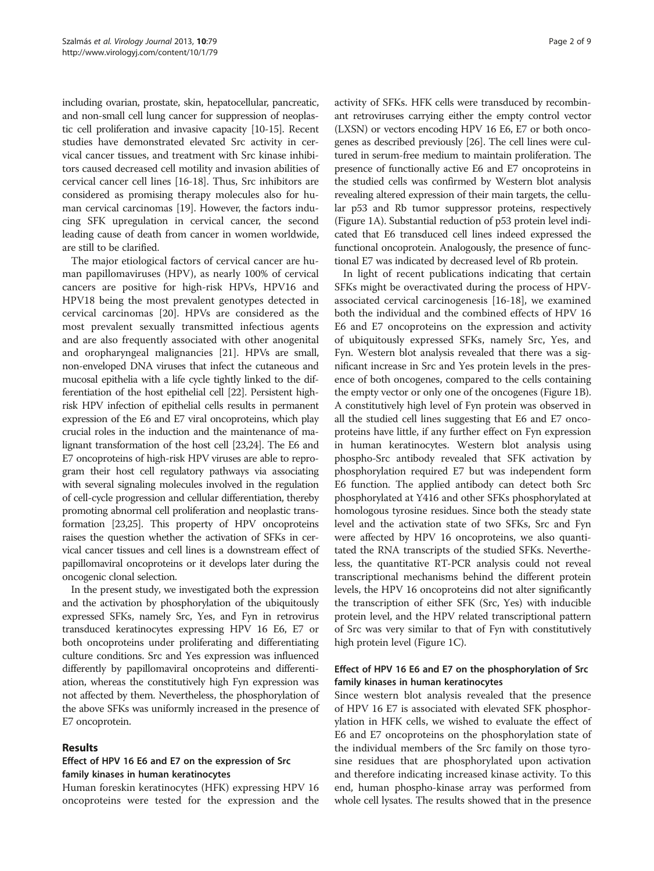including ovarian, prostate, skin, hepatocellular, pancreatic, and non-small cell lung cancer for suppression of neoplastic cell proliferation and invasive capacity [[10](#page-8-0)-[15](#page-8-0)]. Recent studies have demonstrated elevated Src activity in cervical cancer tissues, and treatment with Src kinase inhibitors caused decreased cell motility and invasion abilities of cervical cancer cell lines [\[16-18](#page-8-0)]. Thus, Src inhibitors are considered as promising therapy molecules also for human cervical carcinomas [[19](#page-8-0)]. However, the factors inducing SFK upregulation in cervical cancer, the second leading cause of death from cancer in women worldwide, are still to be clarified.

The major etiological factors of cervical cancer are human papillomaviruses (HPV), as nearly 100% of cervical cancers are positive for high-risk HPVs, HPV16 and HPV18 being the most prevalent genotypes detected in cervical carcinomas [\[20\]](#page-8-0). HPVs are considered as the most prevalent sexually transmitted infectious agents and are also frequently associated with other anogenital and oropharyngeal malignancies [[21](#page-8-0)]. HPVs are small, non-enveloped DNA viruses that infect the cutaneous and mucosal epithelia with a life cycle tightly linked to the differentiation of the host epithelial cell [\[22\]](#page-8-0). Persistent highrisk HPV infection of epithelial cells results in permanent expression of the E6 and E7 viral oncoproteins, which play crucial roles in the induction and the maintenance of malignant transformation of the host cell [[23,24](#page-8-0)]. The E6 and E7 oncoproteins of high-risk HPV viruses are able to reprogram their host cell regulatory pathways via associating with several signaling molecules involved in the regulation of cell-cycle progression and cellular differentiation, thereby promoting abnormal cell proliferation and neoplastic transformation [[23,25\]](#page-8-0). This property of HPV oncoproteins raises the question whether the activation of SFKs in cervical cancer tissues and cell lines is a downstream effect of papillomaviral oncoproteins or it develops later during the oncogenic clonal selection.

In the present study, we investigated both the expression and the activation by phosphorylation of the ubiquitously expressed SFKs, namely Src, Yes, and Fyn in retrovirus transduced keratinocytes expressing HPV 16 E6, E7 or both oncoproteins under proliferating and differentiating culture conditions. Src and Yes expression was influenced differently by papillomaviral oncoproteins and differentiation, whereas the constitutively high Fyn expression was not affected by them. Nevertheless, the phosphorylation of the above SFKs was uniformly increased in the presence of E7 oncoprotein.

# Results

# Effect of HPV 16 E6 and E7 on the expression of Src family kinases in human keratinocytes

Human foreskin keratinocytes (HFK) expressing HPV 16 oncoproteins were tested for the expression and the

activity of SFKs. HFK cells were transduced by recombinant retroviruses carrying either the empty control vector (LXSN) or vectors encoding HPV 16 E6, E7 or both oncogenes as described previously [\[26\]](#page-8-0). The cell lines were cultured in serum-free medium to maintain proliferation. The presence of functionally active E6 and E7 oncoproteins in the studied cells was confirmed by Western blot analysis revealing altered expression of their main targets, the cellular p53 and Rb tumor suppressor proteins, respectively (Figure [1](#page-2-0)A). Substantial reduction of p53 protein level indicated that E6 transduced cell lines indeed expressed the functional oncoprotein. Analogously, the presence of functional E7 was indicated by decreased level of Rb protein.

In light of recent publications indicating that certain SFKs might be overactivated during the process of HPVassociated cervical carcinogenesis [\[16](#page-8-0)-[18\]](#page-8-0), we examined both the individual and the combined effects of HPV 16 E6 and E7 oncoproteins on the expression and activity of ubiquitously expressed SFKs, namely Src, Yes, and Fyn. Western blot analysis revealed that there was a significant increase in Src and Yes protein levels in the presence of both oncogenes, compared to the cells containing the empty vector or only one of the oncogenes (Figure [1B](#page-2-0)). A constitutively high level of Fyn protein was observed in all the studied cell lines suggesting that E6 and E7 oncoproteins have little, if any further effect on Fyn expression in human keratinocytes. Western blot analysis using phospho-Src antibody revealed that SFK activation by phosphorylation required E7 but was independent form E6 function. The applied antibody can detect both Src phosphorylated at Y416 and other SFKs phosphorylated at homologous tyrosine residues. Since both the steady state level and the activation state of two SFKs, Src and Fyn were affected by HPV 16 oncoproteins, we also quantitated the RNA transcripts of the studied SFKs. Nevertheless, the quantitative RT-PCR analysis could not reveal transcriptional mechanisms behind the different protein levels, the HPV 16 oncoproteins did not alter significantly the transcription of either SFK (Src, Yes) with inducible protein level, and the HPV related transcriptional pattern of Src was very similar to that of Fyn with constitutively high protein level (Figure [1](#page-2-0)C).

# Effect of HPV 16 E6 and E7 on the phosphorylation of Src family kinases in human keratinocytes

Since western blot analysis revealed that the presence of HPV 16 E7 is associated with elevated SFK phosphorylation in HFK cells, we wished to evaluate the effect of E6 and E7 oncoproteins on the phosphorylation state of the individual members of the Src family on those tyrosine residues that are phosphorylated upon activation and therefore indicating increased kinase activity. To this end, human phospho-kinase array was performed from whole cell lysates. The results showed that in the presence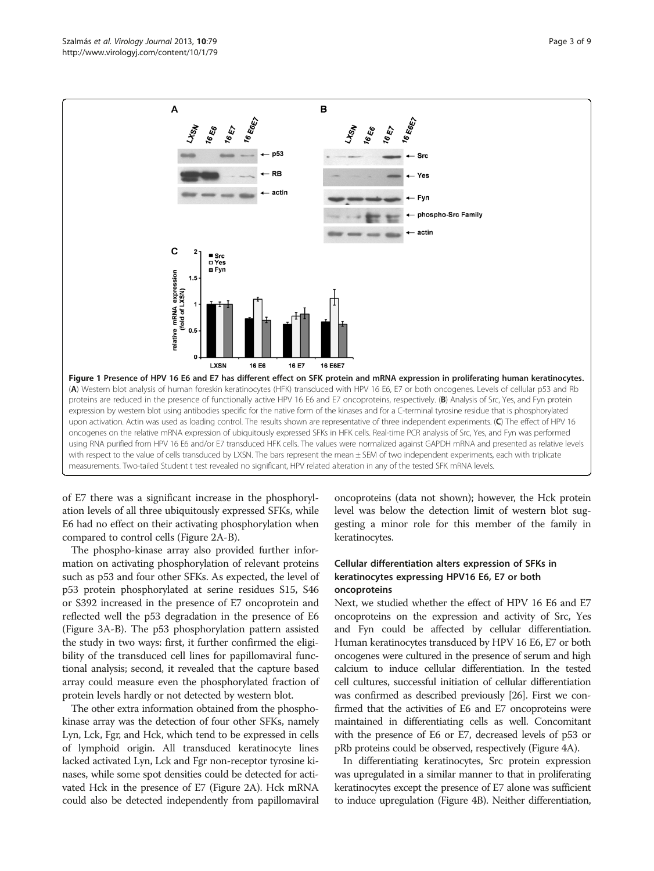<span id="page-2-0"></span>

of E7 there was a significant increase in the phosphorylation levels of all three ubiquitously expressed SFKs, while E6 had no effect on their activating phosphorylation when compared to control cells (Figure [2](#page-3-0)A-B).

The phospho-kinase array also provided further information on activating phosphorylation of relevant proteins such as p53 and four other SFKs. As expected, the level of p53 protein phosphorylated at serine residues S15, S46 or S392 increased in the presence of E7 oncoprotein and reflected well the p53 degradation in the presence of E6 (Figure [3A](#page-4-0)-B). The p53 phosphorylation pattern assisted the study in two ways: first, it further confirmed the eligibility of the transduced cell lines for papillomaviral functional analysis; second, it revealed that the capture based array could measure even the phosphorylated fraction of protein levels hardly or not detected by western blot.

The other extra information obtained from the phosphokinase array was the detection of four other SFKs, namely Lyn, Lck, Fgr, and Hck, which tend to be expressed in cells of lymphoid origin. All transduced keratinocyte lines lacked activated Lyn, Lck and Fgr non-receptor tyrosine kinases, while some spot densities could be detected for activated Hck in the presence of E7 (Figure [2](#page-3-0)A). Hck mRNA could also be detected independently from papillomaviral

oncoproteins (data not shown); however, the Hck protein level was below the detection limit of western blot suggesting a minor role for this member of the family in keratinocytes.

# Cellular differentiation alters expression of SFKs in keratinocytes expressing HPV16 E6, E7 or both oncoproteins

Next, we studied whether the effect of HPV 16 E6 and E7 oncoproteins on the expression and activity of Src, Yes and Fyn could be affected by cellular differentiation. Human keratinocytes transduced by HPV 16 E6, E7 or both oncogenes were cultured in the presence of serum and high calcium to induce cellular differentiation. In the tested cell cultures, successful initiation of cellular differentiation was confirmed as described previously [\[26\]](#page-8-0). First we confirmed that the activities of E6 and E7 oncoproteins were maintained in differentiating cells as well. Concomitant with the presence of E6 or E7, decreased levels of p53 or pRb proteins could be observed, respectively (Figure [4](#page-5-0)A).

In differentiating keratinocytes, Src protein expression was upregulated in a similar manner to that in proliferating keratinocytes except the presence of E7 alone was sufficient to induce upregulation (Figure [4](#page-5-0)B). Neither differentiation,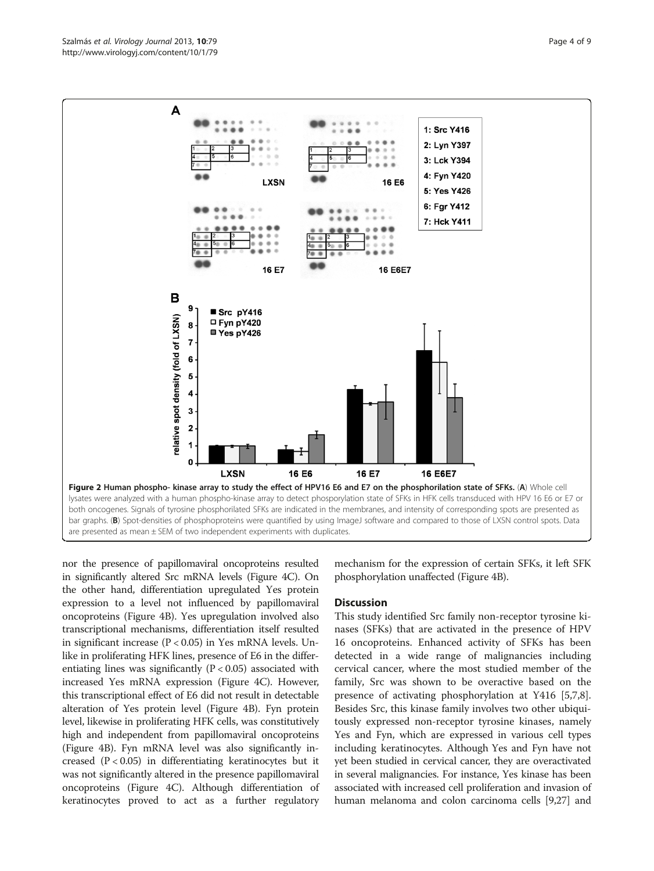<span id="page-3-0"></span>

nor the presence of papillomaviral oncoproteins resulted in significantly altered Src mRNA levels (Figure [4C](#page-5-0)). On the other hand, differentiation upregulated Yes protein expression to a level not influenced by papillomaviral oncoproteins (Figure [4](#page-5-0)B). Yes upregulation involved also transcriptional mechanisms, differentiation itself resulted in significant increase (P < 0.05) in Yes mRNA levels. Unlike in proliferating HFK lines, presence of E6 in the differentiating lines was significantly  $(P < 0.05)$  associated with increased Yes mRNA expression (Figure [4](#page-5-0)C). However, this transcriptional effect of E6 did not result in detectable alteration of Yes protein level (Figure [4](#page-5-0)B). Fyn protein level, likewise in proliferating HFK cells, was constitutively high and independent from papillomaviral oncoproteins (Figure [4B](#page-5-0)). Fyn mRNA level was also significantly increased  $(P < 0.05)$  in differentiating keratinocytes but it was not significantly altered in the presence papillomaviral oncoproteins (Figure [4](#page-5-0)C). Although differentiation of keratinocytes proved to act as a further regulatory

mechanism for the expression of certain SFKs, it left SFK phosphorylation unaffected (Figure [4](#page-5-0)B).

## **Discussion**

This study identified Src family non-receptor tyrosine kinases (SFKs) that are activated in the presence of HPV 16 oncoproteins. Enhanced activity of SFKs has been detected in a wide range of malignancies including cervical cancer, where the most studied member of the family, Src was shown to be overactive based on the presence of activating phosphorylation at Y416 [\[5,7,8](#page-8-0)]. Besides Src, this kinase family involves two other ubiquitously expressed non-receptor tyrosine kinases, namely Yes and Fyn, which are expressed in various cell types including keratinocytes. Although Yes and Fyn have not yet been studied in cervical cancer, they are overactivated in several malignancies. For instance, Yes kinase has been associated with increased cell proliferation and invasion of human melanoma and colon carcinoma cells [[9,27](#page-8-0)] and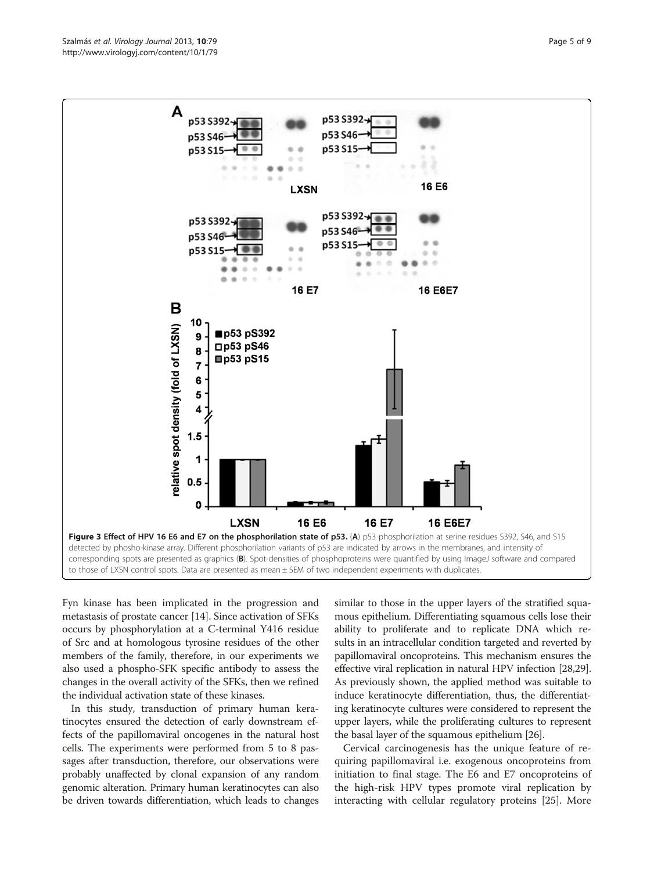<span id="page-4-0"></span>

Fyn kinase has been implicated in the progression and metastasis of prostate cancer [\[14](#page-8-0)]. Since activation of SFKs occurs by phosphorylation at a C-terminal Y416 residue of Src and at homologous tyrosine residues of the other members of the family, therefore, in our experiments we also used a phospho-SFK specific antibody to assess the changes in the overall activity of the SFKs, then we refined the individual activation state of these kinases.

In this study, transduction of primary human keratinocytes ensured the detection of early downstream effects of the papillomaviral oncogenes in the natural host cells. The experiments were performed from 5 to 8 passages after transduction, therefore, our observations were probably unaffected by clonal expansion of any random genomic alteration. Primary human keratinocytes can also be driven towards differentiation, which leads to changes

similar to those in the upper layers of the stratified squamous epithelium. Differentiating squamous cells lose their ability to proliferate and to replicate DNA which results in an intracellular condition targeted and reverted by papillomaviral oncoproteins. This mechanism ensures the effective viral replication in natural HPV infection [\[28,29](#page-8-0)]. As previously shown, the applied method was suitable to induce keratinocyte differentiation, thus, the differentiating keratinocyte cultures were considered to represent the upper layers, while the proliferating cultures to represent the basal layer of the squamous epithelium [\[26](#page-8-0)].

Cervical carcinogenesis has the unique feature of requiring papillomaviral i.e. exogenous oncoproteins from initiation to final stage. The E6 and E7 oncoproteins of the high-risk HPV types promote viral replication by interacting with cellular regulatory proteins [[25](#page-8-0)]. More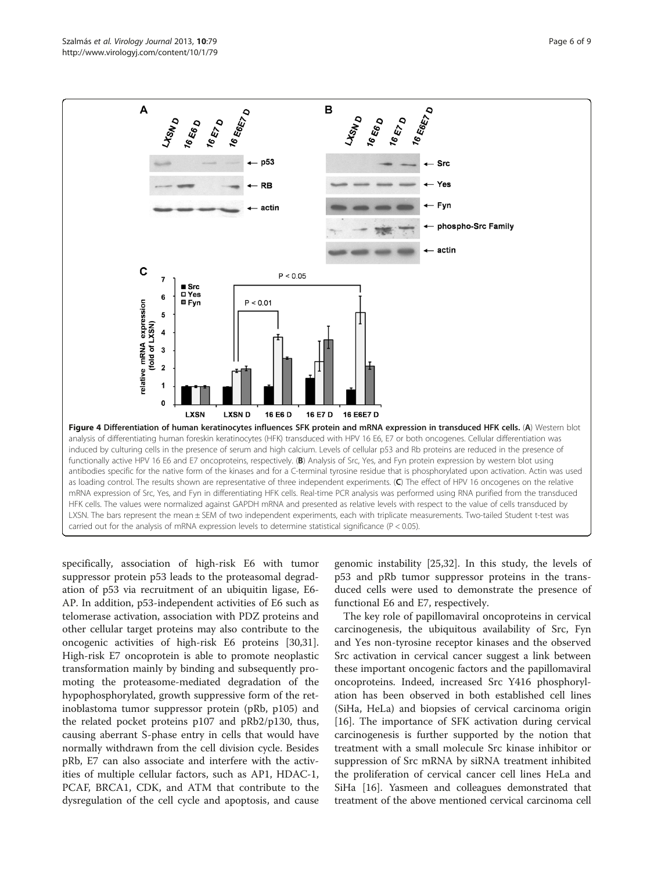<span id="page-5-0"></span>

specifically, association of high-risk E6 with tumor suppressor protein p53 leads to the proteasomal degradation of p53 via recruitment of an ubiquitin ligase, E6- AP. In addition, p53-independent activities of E6 such as telomerase activation, association with PDZ proteins and other cellular target proteins may also contribute to the oncogenic activities of high-risk E6 proteins [\[30,31](#page-8-0)]. High-risk E7 oncoprotein is able to promote neoplastic transformation mainly by binding and subsequently promoting the proteasome-mediated degradation of the hypophosphorylated, growth suppressive form of the retinoblastoma tumor suppressor protein (pRb, p105) and the related pocket proteins p107 and pRb2/p130, thus, causing aberrant S-phase entry in cells that would have normally withdrawn from the cell division cycle. Besides pRb, E7 can also associate and interfere with the activities of multiple cellular factors, such as AP1, HDAC-1, PCAF, BRCA1, CDK, and ATM that contribute to the dysregulation of the cell cycle and apoptosis, and cause

genomic instability [[25,32\]](#page-8-0). In this study, the levels of p53 and pRb tumor suppressor proteins in the transduced cells were used to demonstrate the presence of functional E6 and E7, respectively.

The key role of papillomaviral oncoproteins in cervical carcinogenesis, the ubiquitous availability of Src, Fyn and Yes non-tyrosine receptor kinases and the observed Src activation in cervical cancer suggest a link between these important oncogenic factors and the papillomaviral oncoproteins. Indeed, increased Src Y416 phosphorylation has been observed in both established cell lines (SiHa, HeLa) and biopsies of cervical carcinoma origin [[16\]](#page-8-0). The importance of SFK activation during cervical carcinogenesis is further supported by the notion that treatment with a small molecule Src kinase inhibitor or suppression of Src mRNA by siRNA treatment inhibited the proliferation of cervical cancer cell lines HeLa and SiHa [\[16](#page-8-0)]. Yasmeen and colleagues demonstrated that treatment of the above mentioned cervical carcinoma cell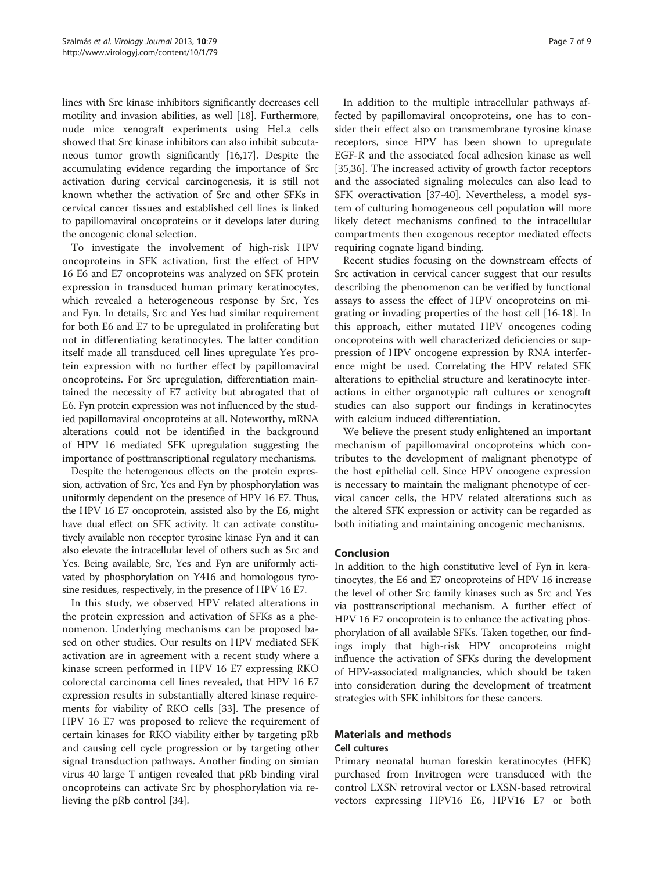lines with Src kinase inhibitors significantly decreases cell motility and invasion abilities, as well [[18](#page-8-0)]. Furthermore, nude mice xenograft experiments using HeLa cells showed that Src kinase inhibitors can also inhibit subcutaneous tumor growth significantly [\[16,17](#page-8-0)]. Despite the accumulating evidence regarding the importance of Src activation during cervical carcinogenesis, it is still not known whether the activation of Src and other SFKs in cervical cancer tissues and established cell lines is linked to papillomaviral oncoproteins or it develops later during the oncogenic clonal selection.

To investigate the involvement of high-risk HPV oncoproteins in SFK activation, first the effect of HPV 16 E6 and E7 oncoproteins was analyzed on SFK protein expression in transduced human primary keratinocytes, which revealed a heterogeneous response by Src, Yes and Fyn. In details, Src and Yes had similar requirement for both E6 and E7 to be upregulated in proliferating but not in differentiating keratinocytes. The latter condition itself made all transduced cell lines upregulate Yes protein expression with no further effect by papillomaviral oncoproteins. For Src upregulation, differentiation maintained the necessity of E7 activity but abrogated that of E6. Fyn protein expression was not influenced by the studied papillomaviral oncoproteins at all. Noteworthy, mRNA alterations could not be identified in the background of HPV 16 mediated SFK upregulation suggesting the importance of posttranscriptional regulatory mechanisms.

Despite the heterogenous effects on the protein expression, activation of Src, Yes and Fyn by phosphorylation was uniformly dependent on the presence of HPV 16 E7. Thus, the HPV 16 E7 oncoprotein, assisted also by the E6, might have dual effect on SFK activity. It can activate constitutively available non receptor tyrosine kinase Fyn and it can also elevate the intracellular level of others such as Src and Yes. Being available, Src, Yes and Fyn are uniformly activated by phosphorylation on Y416 and homologous tyrosine residues, respectively, in the presence of HPV 16 E7.

In this study, we observed HPV related alterations in the protein expression and activation of SFKs as a phenomenon. Underlying mechanisms can be proposed based on other studies. Our results on HPV mediated SFK activation are in agreement with a recent study where a kinase screen performed in HPV 16 E7 expressing RKO colorectal carcinoma cell lines revealed, that HPV 16 E7 expression results in substantially altered kinase requirements for viability of RKO cells [[33\]](#page-8-0). The presence of HPV 16 E7 was proposed to relieve the requirement of certain kinases for RKO viability either by targeting pRb and causing cell cycle progression or by targeting other signal transduction pathways. Another finding on simian virus 40 large T antigen revealed that pRb binding viral oncoproteins can activate Src by phosphorylation via relieving the pRb control [\[34](#page-8-0)].

In addition to the multiple intracellular pathways affected by papillomaviral oncoproteins, one has to consider their effect also on transmembrane tyrosine kinase receptors, since HPV has been shown to upregulate EGF-R and the associated focal adhesion kinase as well [[35,36\]](#page-8-0). The increased activity of growth factor receptors and the associated signaling molecules can also lead to SFK overactivation [\[37](#page-8-0)-[40\]](#page-8-0). Nevertheless, a model system of culturing homogeneous cell population will more likely detect mechanisms confined to the intracellular compartments then exogenous receptor mediated effects requiring cognate ligand binding.

Recent studies focusing on the downstream effects of Src activation in cervical cancer suggest that our results describing the phenomenon can be verified by functional assays to assess the effect of HPV oncoproteins on migrating or invading properties of the host cell [\[16](#page-8-0)-[18](#page-8-0)]. In this approach, either mutated HPV oncogenes coding oncoproteins with well characterized deficiencies or suppression of HPV oncogene expression by RNA interference might be used. Correlating the HPV related SFK alterations to epithelial structure and keratinocyte interactions in either organotypic raft cultures or xenograft studies can also support our findings in keratinocytes with calcium induced differentiation.

We believe the present study enlightened an important mechanism of papillomaviral oncoproteins which contributes to the development of malignant phenotype of the host epithelial cell. Since HPV oncogene expression is necessary to maintain the malignant phenotype of cervical cancer cells, the HPV related alterations such as the altered SFK expression or activity can be regarded as both initiating and maintaining oncogenic mechanisms.

## Conclusion

In addition to the high constitutive level of Fyn in keratinocytes, the E6 and E7 oncoproteins of HPV 16 increase the level of other Src family kinases such as Src and Yes via posttranscriptional mechanism. A further effect of HPV 16 E7 oncoprotein is to enhance the activating phosphorylation of all available SFKs. Taken together, our findings imply that high-risk HPV oncoproteins might influence the activation of SFKs during the development of HPV-associated malignancies, which should be taken into consideration during the development of treatment strategies with SFK inhibitors for these cancers.

# Materials and methods

# Cell cultures

Primary neonatal human foreskin keratinocytes (HFK) purchased from Invitrogen were transduced with the control LXSN retroviral vector or LXSN-based retroviral vectors expressing HPV16 E6, HPV16 E7 or both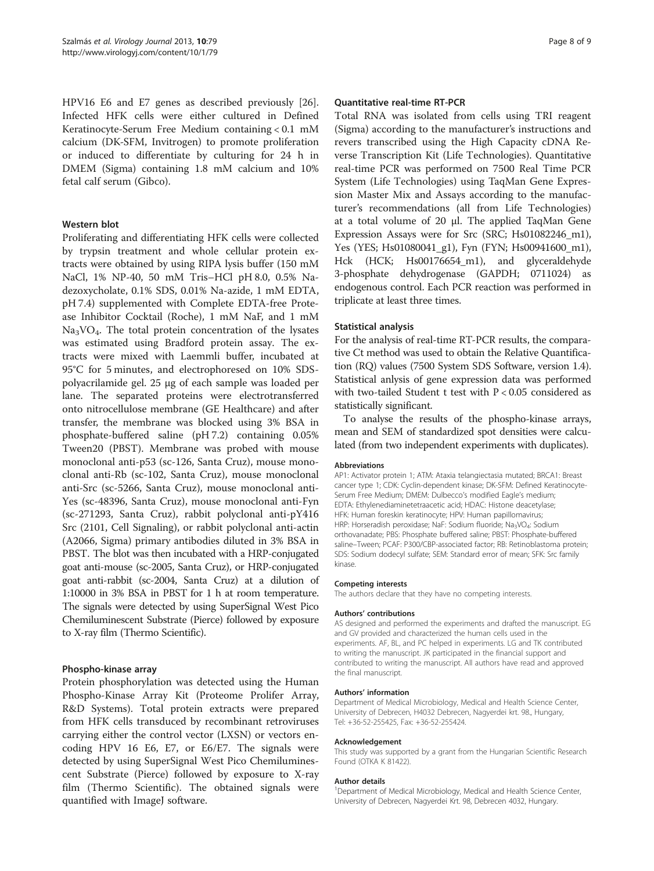HPV16 E6 and E7 genes as described previously [\[26](#page-8-0)]. Infected HFK cells were either cultured in Defined Keratinocyte-Serum Free Medium containing < 0.1 mM calcium (DK-SFM, Invitrogen) to promote proliferation or induced to differentiate by culturing for 24 h in DMEM (Sigma) containing 1.8 mM calcium and 10% fetal calf serum (Gibco).

## Western blot

Proliferating and differentiating HFK cells were collected by trypsin treatment and whole cellular protein extracts were obtained by using RIPA lysis buffer (150 mM NaCl, 1% NP-40, 50 mM Tris–HCl pH 8.0, 0.5% Nadezoxycholate, 0.1% SDS, 0.01% Na-azide, 1 mM EDTA, pH 7.4) supplemented with Complete EDTA-free Protease Inhibitor Cocktail (Roche), 1 mM NaF, and 1 mM Na3VO4. The total protein concentration of the lysates was estimated using Bradford protein assay. The extracts were mixed with Laemmli buffer, incubated at 95°C for 5 minutes, and electrophoresed on 10% SDSpolyacrilamide gel. 25 μg of each sample was loaded per lane. The separated proteins were electrotransferred onto nitrocellulose membrane (GE Healthcare) and after transfer, the membrane was blocked using 3% BSA in phosphate-buffered saline (pH 7.2) containing 0.05% Tween20 (PBST). Membrane was probed with mouse monoclonal anti-p53 (sc-126, Santa Cruz), mouse monoclonal anti-Rb (sc-102, Santa Cruz), mouse monoclonal anti-Src (sc-5266, Santa Cruz), mouse monoclonal anti-Yes (sc-48396, Santa Cruz), mouse monoclonal anti-Fyn (sc-271293, Santa Cruz), rabbit polyclonal anti-pY416 Src (2101, Cell Signaling), or rabbit polyclonal anti-actin (A2066, Sigma) primary antibodies diluted in 3% BSA in PBST. The blot was then incubated with a HRP-conjugated goat anti-mouse (sc-2005, Santa Cruz), or HRP-conjugated goat anti-rabbit (sc-2004, Santa Cruz) at a dilution of 1:10000 in 3% BSA in PBST for 1 h at room temperature. The signals were detected by using SuperSignal West Pico Chemiluminescent Substrate (Pierce) followed by exposure to X-ray film (Thermo Scientific).

## Phospho-kinase array

Protein phosphorylation was detected using the Human Phospho-Kinase Array Kit (Proteome Prolifer Array, R&D Systems). Total protein extracts were prepared from HFK cells transduced by recombinant retroviruses carrying either the control vector (LXSN) or vectors encoding HPV 16 E6, E7, or E6/E7. The signals were detected by using SuperSignal West Pico Chemiluminescent Substrate (Pierce) followed by exposure to X-ray film (Thermo Scientific). The obtained signals were quantified with ImageJ software.

## Quantitative real-time RT-PCR

Total RNA was isolated from cells using TRI reagent (Sigma) according to the manufacturer's instructions and revers transcribed using the High Capacity cDNA Reverse Transcription Kit (Life Technologies). Quantitative real-time PCR was performed on 7500 Real Time PCR System (Life Technologies) using TaqMan Gene Expression Master Mix and Assays according to the manufacturer's recommendations (all from Life Technologies) at a total volume of 20 μl. The applied TaqMan Gene Expression Assays were for Src (SRC; Hs01082246\_m1), Yes (YES; Hs01080041\_g1), Fyn (FYN; Hs00941600\_m1), Hck (HCK; Hs00176654\_m1), and glyceraldehyde 3-phosphate dehydrogenase (GAPDH; 0711024) as endogenous control. Each PCR reaction was performed in triplicate at least three times.

## Statistical analysis

For the analysis of real-time RT-PCR results, the comparative Ct method was used to obtain the Relative Quantification (RQ) values (7500 System SDS Software, version 1.4). Statistical anlysis of gene expression data was performed with two-tailed Student t test with P < 0.05 considered as statistically significant.

To analyse the results of the phospho-kinase arrays, mean and SEM of standardized spot densities were calculated (from two independent experiments with duplicates).

## Abbreviations

AP1: Activator protein 1; ATM: Ataxia telangiectasia mutated; BRCA1: Breast cancer type 1; CDK: Cyclin-dependent kinase; DK-SFM: Defined Keratinocyte-Serum Free Medium; DMEM: Dulbecco's modified Eagle's medium; EDTA: Ethylenediaminetetraacetic acid; HDAC: Histone deacetylase; HFK: Human foreskin keratinocyte; HPV: Human papillomavirus; HRP: Horseradish peroxidase; NaF: Sodium fluoride; Na<sub>3</sub>VO<sub>4</sub>: Sodium orthovanadate; PBS: Phosphate buffered saline; PBST: Phosphate-buffered saline–Tween; PCAF: P300/CBP-associated factor; RB: Retinoblastoma protein; SDS: Sodium dodecyl sulfate; SEM: Standard error of mean; SFK: Src family kinase.

#### Competing interests

The authors declare that they have no competing interests.

## Authors' contributions

AS designed and performed the experiments and drafted the manuscript. EG and GV provided and characterized the human cells used in the experiments. AF, BL, and PC helped in experiments. LG and TK contributed to writing the manuscript. JK participated in the financial support and contributed to writing the manuscript. All authors have read and approved the final manuscript.

## Authors' information

Department of Medical Microbiology, Medical and Health Science Center, University of Debrecen, H4032 Debrecen, Nagyerdei krt. 98., Hungary, Tel: +36-52-255425, Fax: +36-52-255424.

#### Acknowledgement

This study was supported by a grant from the Hungarian Scientific Research Found (OTKA K 81422).

#### Author details

<sup>1</sup>Department of Medical Microbiology, Medical and Health Science Center, University of Debrecen, Nagyerdei Krt. 98, Debrecen 4032, Hungary.